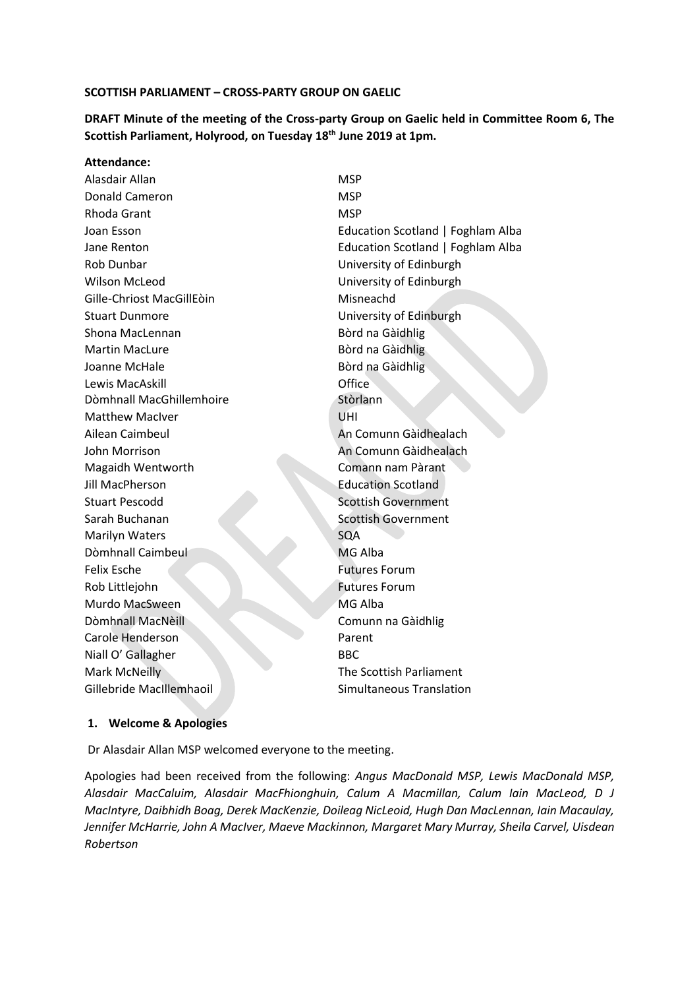#### **SCOTTISH PARLIAMENT – CROSS-PARTY GROUP ON GAELIC**

**DRAFT Minute of the meeting of the Cross-party Group on Gaelic held in Committee Room 6, The Scottish Parliament, Holyrood, on Tuesday 18th June 2019 at 1pm.** 

#### **Attendance:**

Alasdair Allan MSP Donald Cameron MSP Rhoda Grant MSP Rob Dunbar University of Edinburgh Wilson McLeod **University of Edinburgh** Gille-Chriost MacGillEòin **Misneachd** Stuart Dunmore **University of Edinburgh** Shona MacLennan **Bòrd na Gàidhlig** Martin MacLure **Bòrd na Gàidhlig** Joanne McHale **Bòrd na Gàidhlig** Lewis MacAskill Office Dòmhnall MacGhillemhoire **Stòrlann** Matthew MacIver **National Matthew MacIver** 2008 Ailean Caimbeul **An Comunn Gàidhealach** John Morrison **An Comunn Gàidhealach** Magaidh Wentworth Comann nam Pàrant **Jill MacPherson** Education Scotland Stuart Pescodd Stuart Pescodd Stuart Pescodd Stuart Pescodd Scottish Government Sarah Buchanan Sarah Buchanan Scottish Government Marilyn Waters SQA Dòmhnall Caimbeul MG Alba Felix Esche Futures Forum Rob Littlejohn Futures Forum Murdo MacSween MG Alba Dòmhnall MacNèill Comunn na Gàidhlig Carole Henderson **Parent** Niall O' Gallagher BBC Mark McNeilly The Scottish Parliament Gillebride MacIllemhaoil **Simultaneous Translation** 

Joan Esson **Example 2018** Education Scotland | Foghlam Alba Jane Renton Education Scotland | Foghlam Alba

#### **1. Welcome & Apologies**

Dr Alasdair Allan MSP welcomed everyone to the meeting.

Apologies had been received from the following: *Angus MacDonald MSP, Lewis MacDonald MSP, Alasdair MacCaluim, Alasdair MacFhionghuin, Calum A Macmillan, Calum Iain MacLeod, D J MacIntyre, Daibhidh Boag, Derek MacKenzie, Doileag NicLeoid, Hugh Dan MacLennan, Iain Macaulay, Jennifer McHarrie, John A MacIver, Maeve Mackinnon, Margaret Mary Murray, Sheila Carvel, Uisdean Robertson*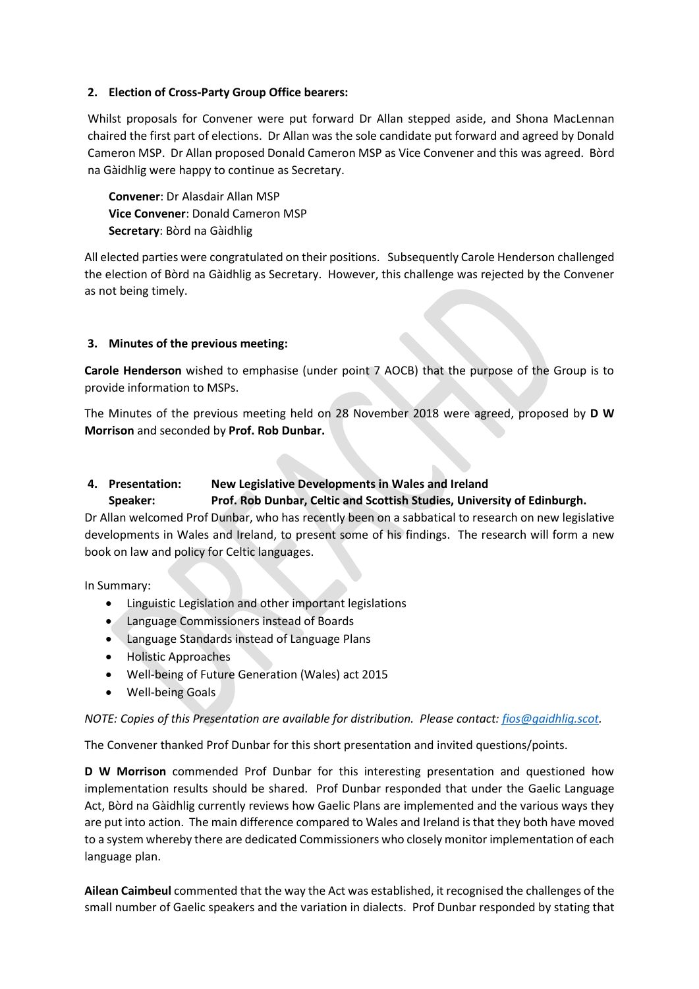### **2. Election of Cross-Party Group Office bearers:**

Whilst proposals for Convener were put forward Dr Allan stepped aside, and Shona MacLennan chaired the first part of elections. Dr Allan was the sole candidate put forward and agreed by Donald Cameron MSP. Dr Allan proposed Donald Cameron MSP as Vice Convener and this was agreed. Bòrd na Gàidhlig were happy to continue as Secretary.

**Convener**: Dr Alasdair Allan MSP **Vice Convener**: Donald Cameron MSP **Secretary**: Bòrd na Gàidhlig

All elected parties were congratulated on their positions. Subsequently Carole Henderson challenged the election of Bòrd na Gàidhlig as Secretary. However, this challenge was rejected by the Convener as not being timely.

### **3. Minutes of the previous meeting:**

**Carole Henderson** wished to emphasise (under point 7 AOCB) that the purpose of the Group is to provide information to MSPs.

The Minutes of the previous meeting held on 28 November 2018 were agreed, proposed by **D W Morrison** and seconded by **Prof. Rob Dunbar.** 

# **4. Presentation: New Legislative Developments in Wales and Ireland Speaker: Prof. Rob Dunbar, Celtic and Scottish Studies, University of Edinburgh.**

Dr Allan welcomed Prof Dunbar, who has recently been on a sabbatical to research on new legislative developments in Wales and Ireland, to present some of his findings. The research will form a new book on law and policy for Celtic languages.

In Summary:

- Linguistic Legislation and other important legislations
- Language Commissioners instead of Boards
- Language Standards instead of Language Plans
- Holistic Approaches
- Well-being of Future Generation (Wales) act 2015
- Well-being Goals

## *NOTE: Copies of this Presentation are available for distribution. Please contact[: fios@gaidhlig.scot.](mailto:fios@gaidhlig.scot)*

The Convener thanked Prof Dunbar for this short presentation and invited questions/points.

**D W Morrison** commended Prof Dunbar for this interesting presentation and questioned how implementation results should be shared. Prof Dunbar responded that under the Gaelic Language Act, Bòrd na Gàidhlig currently reviews how Gaelic Plans are implemented and the various ways they are put into action. The main difference compared to Wales and Ireland is that they both have moved to a system whereby there are dedicated Commissioners who closely monitor implementation of each language plan.

**Ailean Caimbeul** commented that the way the Act was established, it recognised the challenges of the small number of Gaelic speakers and the variation in dialects. Prof Dunbar responded by stating that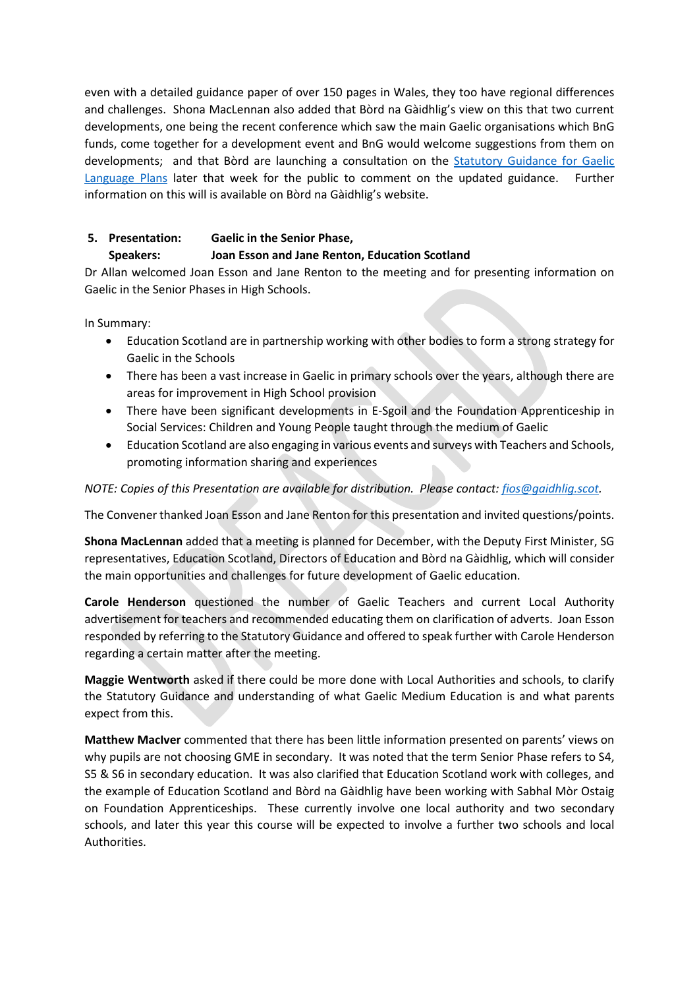even with a detailed guidance paper of over 150 pages in Wales, they too have regional differences and challenges. Shona MacLennan also added that Bòrd na Gàidhlig's view on this that two current developments, one being the recent conference which saw the main Gaelic organisations which BnG funds, come together for a development event and BnG would welcome suggestions from them on developments; and that Bòrd are launching a consultation on the [Statutory Guidance for Gaelic](http://www.gaidhlig.scot/bord/gaelic-you/public-consultation-draft-plans-guidance/)  [Language Plans](http://www.gaidhlig.scot/bord/gaelic-you/public-consultation-draft-plans-guidance/) later that week for the public to comment on the updated guidance. Further information on this will is available on Bòrd na Gàidhlig's website.

## **5. Presentation: Gaelic in the Senior Phase,**

## **Speakers: Joan Esson and Jane Renton, Education Scotland**

Dr Allan welcomed Joan Esson and Jane Renton to the meeting and for presenting information on Gaelic in the Senior Phases in High Schools.

In Summary:

- Education Scotland are in partnership working with other bodies to form a strong strategy for Gaelic in the Schools
- There has been a vast increase in Gaelic in primary schools over the years, although there are areas for improvement in High School provision
- There have been significant developments in E-Sgoil and the Foundation Apprenticeship in Social Services: Children and Young People taught through the medium of Gaelic
- Education Scotland are also engaging in various events and surveys with Teachers and Schools, promoting information sharing and experiences

## *NOTE: Copies of this Presentation are available for distribution. Please contact[: fios@gaidhlig.scot.](mailto:fios@gaidhlig.scot)*

The Convener thanked Joan Esson and Jane Renton for this presentation and invited questions/points.

**Shona MacLennan** added that a meeting is planned for December, with the Deputy First Minister, SG representatives, Education Scotland, Directors of Education and Bòrd na Gàidhlig, which will consider the main opportunities and challenges for future development of Gaelic education.

**Carole Henderson** questioned the number of Gaelic Teachers and current Local Authority advertisement for teachers and recommended educating them on clarification of adverts. Joan Esson responded by referring to the Statutory Guidance and offered to speak further with Carole Henderson regarding a certain matter after the meeting.

**Maggie Wentworth** asked if there could be more done with Local Authorities and schools, to clarify the Statutory Guidance and understanding of what Gaelic Medium Education is and what parents expect from this.

**Matthew MacIver** commented that there has been little information presented on parents' views on why pupils are not choosing GME in secondary. It was noted that the term Senior Phase refers to S4, S5 & S6 in secondary education. It was also clarified that Education Scotland work with colleges, and the example of Education Scotland and Bòrd na Gàidhlig have been working with Sabhal Mòr Ostaig on Foundation Apprenticeships. These currently involve one local authority and two secondary schools, and later this year this course will be expected to involve a further two schools and local Authorities.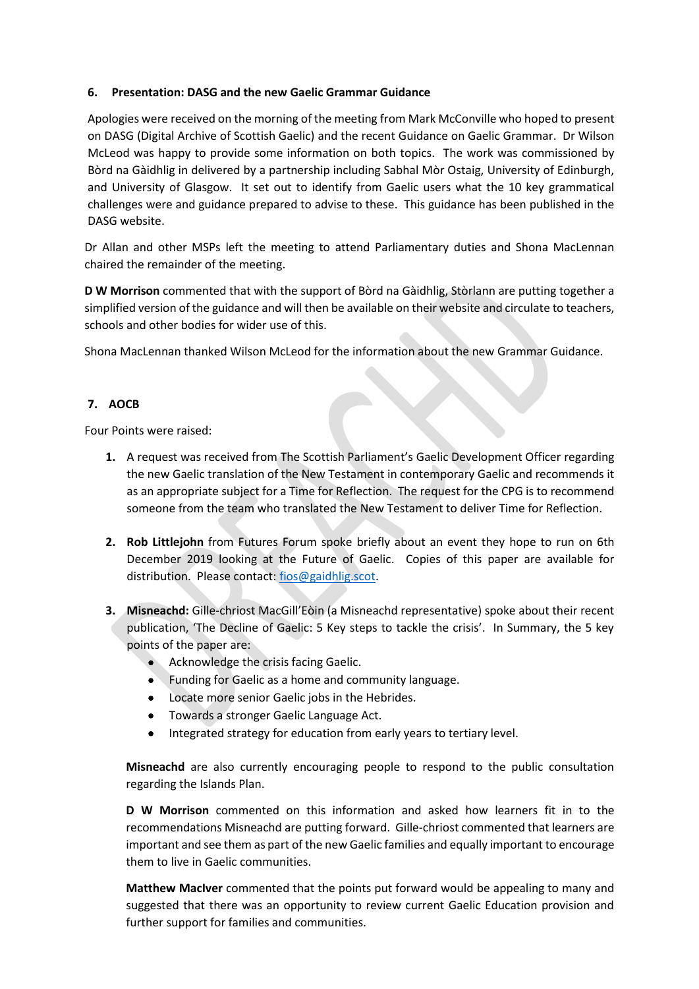### **6. Presentation: DASG and the new Gaelic Grammar Guidance**

Apologies were received on the morning of the meeting from Mark McConville who hoped to present on DASG (Digital Archive of Scottish Gaelic) and the recent Guidance on Gaelic Grammar. Dr Wilson McLeod was happy to provide some information on both topics. The work was commissioned by Bòrd na Gàidhlig in delivered by a partnership including Sabhal Mòr Ostaig, University of Edinburgh, and University of Glasgow. It set out to identify from Gaelic users what the 10 key grammatical challenges were and guidance prepared to advise to these. This guidance has been published in the DASG website.

Dr Allan and other MSPs left the meeting to attend Parliamentary duties and Shona MacLennan chaired the remainder of the meeting.

**D W Morrison** commented that with the support of Bòrd na Gàidhlig, Stòrlann are putting together a simplified version of the guidance and will then be available on their website and circulate to teachers, schools and other bodies for wider use of this.

Shona MacLennan thanked Wilson McLeod for the information about the new Grammar Guidance.

## **7. AOCB**

Four Points were raised:

- **1.** A request was received from The Scottish Parliament's Gaelic Development Officer regarding the new Gaelic translation of the New Testament in contemporary Gaelic and recommends it as an appropriate subject for a Time for Reflection. The request for the CPG is to recommend someone from the team who translated the New Testament to deliver Time for Reflection.
- **2. Rob Littlejohn** from Futures Forum spoke briefly about an event they hope to run on 6th December 2019 looking at the Future of Gaelic. Copies of this paper are available for distribution. Please contact: [fios@gaidhlig.scot.](mailto:fios@gaidhlig.scot)
- **3. Misneachd:** Gille-chriost MacGill'Eòin (a Misneachd representative) spoke about their recent publication, 'The Decline of Gaelic: 5 Key steps to tackle the crisis'. In Summary, the 5 key points of the paper are:
	- Acknowledge the crisis facing Gaelic.
	- Funding for Gaelic as a home and community language.
	- Locate more senior Gaelic jobs in the Hebrides.
	- Towards a stronger Gaelic Language Act.
	- Integrated strategy for education from early years to tertiary level.

**Misneachd** are also currently encouraging people to respond to the public consultation regarding the Islands Plan.

**D W Morrison** commented on this information and asked how learners fit in to the recommendations Misneachd are putting forward. Gille-chriost commented that learners are important and see them as part of the new Gaelic families and equally important to encourage them to live in Gaelic communities.

**Matthew MacIver** commented that the points put forward would be appealing to many and suggested that there was an opportunity to review current Gaelic Education provision and further support for families and communities.